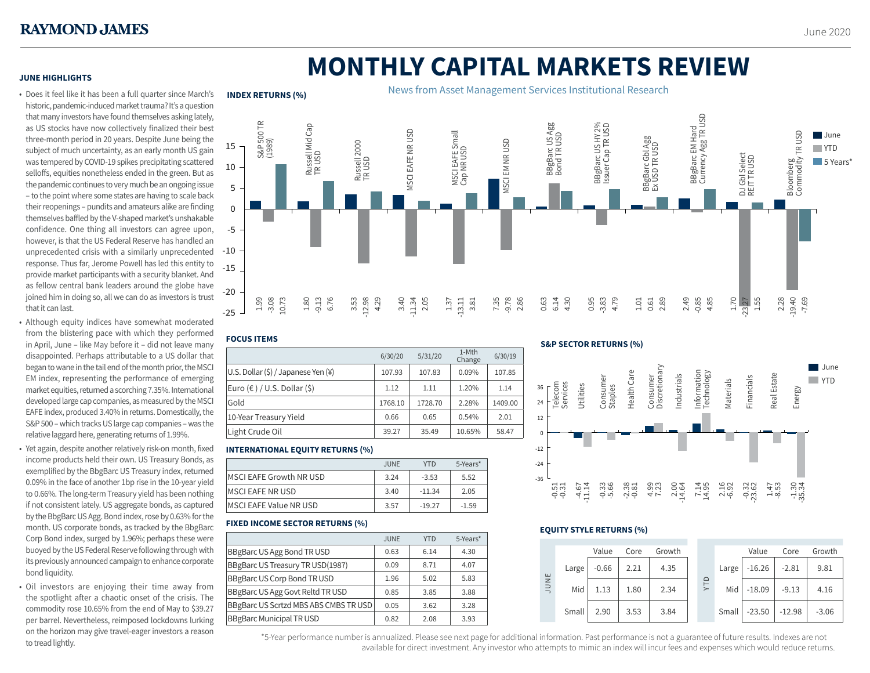# **RAYMOND JAMES**

# **JUNE HIGHLIGHTS**

# **MONTHLY CAPITAL MARKETS REVIEW**

unprecedented crisis with a similarly unprecedented  $-10$ • Does it feel like it has been a full quarter since March's historic, pandemic-induced market trauma? It's a question that many investors have found themselves asking lately, as US stocks have now collectively finalized their best three-month period in 20 years. Despite June being the subject of much uncertainty, as an early month US gain was tempered by COVID-19 spikes precipitating scattered selloffs, equities nonetheless ended in the green. But as the pandemic continues to very much be an ongoing issue – to the point where some states are having to scale back their reopenings – pundits and amateurs alike are finding themselves baffled by the V-shaped market's unshakable confidence. One thing all investors can agree upon, however, is that the US Federal Reserve has handled an response. Thus far, Jerome Powell has led this entity to provide market participants with a security blanket. And as fellow central bank leaders around the globe have joined him in doing so, all we can do as investors is trust that it can last.

- Although equity indices have somewhat moderated from the blistering pace with which they performed in April, June – like May before it – did not leave many disappointed. Perhaps attributable to a US dollar that began to wane in the tail end of the month prior, the MSCI EM index, representing the performance of emerging market equities, returned a scorching 7.35%. International developed large cap companies, as measured by the MSCI EAFE index, produced 3.40% in returns. Domestically, the S&P 500 – which tracks US large cap companies – was the relative laggard here, generating returns of 1.99%.
- Yet again, despite another relatively risk-on month, fixed income products held their own. US Treasury Bonds, as exemplified by the BbgBarc US Treasury index, returned 0.09% in the face of another 1bp rise in the 10-year yield to 0.66%. The long-term Treasury yield has been nothing if not consistent lately. US aggregate bonds, as captured by the BbgBarc US Agg. Bond index, rose by 0.63% for the month. US corporate bonds, as tracked by the BbgBarc Corp Bond index, surged by 1.96%; perhaps these were buoyed by the US Federal Reserve following through with its previously announced campaign to enhance corporate bond liquidity.
- Oil investors are enjoying their time away from the spotlight after a chaotic onset of the crisis. The commodity rose 10.65% from the end of May to \$39.27 per barrel. Nevertheless, reimposed lockdowns lurking on the horizon may give travel-eager investors a reason to tread lightly.



# **FOCUS ITEMS**

|                                                    | 6/30/20 | 5/31/20 | 1-Mth<br>Change | 6/30/19 |
|----------------------------------------------------|---------|---------|-----------------|---------|
| U.S. Dollar $(\xi)$ / Japanese Yen $(\frac{1}{2})$ | 107.93  | 107.83  | $0.09\%$        | 107.85  |
| Euro $(\epsilon)$ / U.S. Dollar $(\xi)$            | 1.12    | 1.11    | 1.20%           | 1.14    |
| Gold                                               | 1768.10 | 1728.70 | 2.28%           | 1409.00 |
| 10-Year Treasury Yield                             | 0.66    | 0.65    | 0.54%           | 2.01    |
| Light Crude Oil                                    | 39.27   | 35.49   | 10.65%          | 58.47   |

#### **INTERNATIONAL EQUITY RETURNS (%)**

|                                | JUNE | YTD      | 5-Years* |
|--------------------------------|------|----------|----------|
| IMSCI EAFE Growth NR USD       | 3.24 | $-3.53$  | 5.52     |
| <b>IMSCI EAFE NR USD</b>       | 3.40 | $-11.34$ | 2.05     |
| <b>IMSCI EAFE Value NR USD</b> | 3.57 | $-19.27$ | $-1.59$  |

# **FIXED INCOME SECTOR RETURNS (%)**

|                                       | JUNE | <b>YTD</b> | 5-Years* |
|---------------------------------------|------|------------|----------|
| BBgBarc US Agg Bond TR USD            | 0.63 | 6.14       | 4.30     |
| BBgBarc US Treasury TR USD(1987)      | 0.09 | 8.71       | 4.07     |
| BBgBarc US Corp Bond TR USD           | 1.96 | 5.02       | 5.83     |
| BBgBarc US Agg Govt Reltd TR USD      | 0.85 | 3.85       | 3.88     |
| BBgBarc US Scrtzd MBS ABS CMBS TR USD | 0.05 | 3.62       | 3.28     |
| <b>BBgBarc Municipal TR USD</b>       | 0.82 | 2.08       | 3.93     |

### **S&P SECTOR RETURNS (%)**



# **EQUITY STYLE RETURNS (%)**

|      |       | Value   | Core | Growth |  |            |       | Value    | Core     | Growth  |
|------|-------|---------|------|--------|--|------------|-------|----------|----------|---------|
| JUNE | Large | $-0.66$ | 2.21 | 4.35   |  | <b>ULA</b> | Large | $-16.26$ | $-2.81$  | 9.81    |
|      | Mid   | 1.13    | 1.80 | 2.34   |  |            | Mid   | $-18.09$ | $-9.13$  | 4.16    |
|      | Small | 2.90    | 3.53 | 3.84   |  |            | Small | $-23.50$ | $-12.98$ | $-3.06$ |

\*5-Year performance number is annualized. Please see next page for additional information. Past performance is not a guarantee of future results. Indexes are not 1 available for direct investment. Any investor who attempts to mimic an index will incur fees and expenses which would reduce returns.